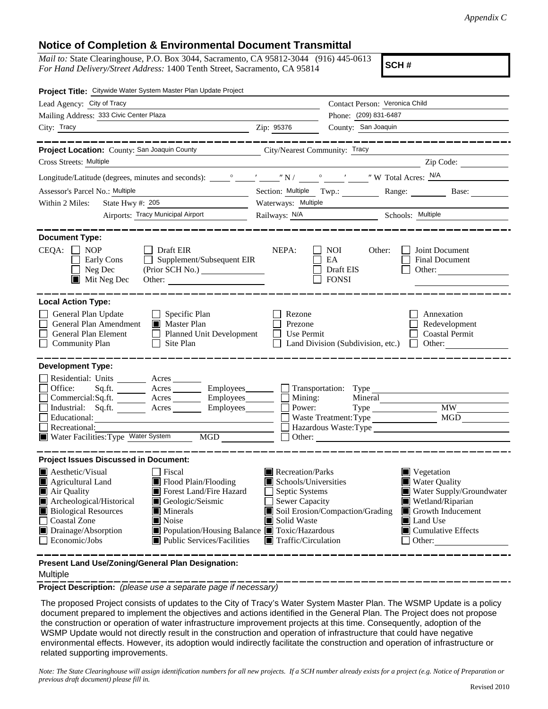## **Notice of Completion & Environmental Document Transmittal**

*Mail to:* State Clearinghouse, P.O. Box 3044, Sacramento, CA 95812-3044 (916) 445-0613 *For Hand Delivery/Street Address:* 1400 Tenth Street, Sacramento, CA 95814

**SCH #**

| Project Title: Citywide Water System Master Plan Update Project                                                                                                                                                                                                                                                                                                                                                       |                                                                                                                                 |                                                                                                                                                                      |                                                         |                                                                                                                                                                  |
|-----------------------------------------------------------------------------------------------------------------------------------------------------------------------------------------------------------------------------------------------------------------------------------------------------------------------------------------------------------------------------------------------------------------------|---------------------------------------------------------------------------------------------------------------------------------|----------------------------------------------------------------------------------------------------------------------------------------------------------------------|---------------------------------------------------------|------------------------------------------------------------------------------------------------------------------------------------------------------------------|
| Lead Agency: City of Tracy                                                                                                                                                                                                                                                                                                                                                                                            | Contact Person: Veronica Child                                                                                                  |                                                                                                                                                                      |                                                         |                                                                                                                                                                  |
| Mailing Address: 333 Civic Center Plaza                                                                                                                                                                                                                                                                                                                                                                               | Phone: (209) 831-6487                                                                                                           |                                                                                                                                                                      |                                                         |                                                                                                                                                                  |
| City: Tracy                                                                                                                                                                                                                                                                                                                                                                                                           |                                                                                                                                 | County: San Joaquin<br>Zip: 95376                                                                                                                                    |                                                         |                                                                                                                                                                  |
|                                                                                                                                                                                                                                                                                                                                                                                                                       |                                                                                                                                 |                                                                                                                                                                      |                                                         |                                                                                                                                                                  |
| Project Location: County: San Joaquin County County City/Nearest Community: Tracy                                                                                                                                                                                                                                                                                                                                     |                                                                                                                                 |                                                                                                                                                                      |                                                         |                                                                                                                                                                  |
| Cross Streets: Multiple                                                                                                                                                                                                                                                                                                                                                                                               |                                                                                                                                 |                                                                                                                                                                      |                                                         | Zip Code:                                                                                                                                                        |
|                                                                                                                                                                                                                                                                                                                                                                                                                       |                                                                                                                                 |                                                                                                                                                                      |                                                         |                                                                                                                                                                  |
| Assessor's Parcel No.: Multiple<br><u> 1989 - Johann Barbara, martin di</u>                                                                                                                                                                                                                                                                                                                                           |                                                                                                                                 |                                                                                                                                                                      | Section: Multiple Twp.: Range: Base: Base:              |                                                                                                                                                                  |
| Within 2 Miles:<br>State Hwy #: $205$                                                                                                                                                                                                                                                                                                                                                                                 | Waterways: Multiple                                                                                                             |                                                                                                                                                                      |                                                         |                                                                                                                                                                  |
|                                                                                                                                                                                                                                                                                                                                                                                                                       | Airports: Tracy Municipal Airport                                                                                               |                                                                                                                                                                      | Railways: N/A Schools: Multiple                         |                                                                                                                                                                  |
| <b>Document Type:</b><br>$CEQA: \Box$<br><b>NOP</b><br>Draft EIR<br>Early Cons<br>Neg Dec<br>$\blacksquare$ Mit Neg Dec                                                                                                                                                                                                                                                                                               | Supplement/Subsequent EIR<br>Other:                                                                                             | NEPA:                                                                                                                                                                | <b>NOI</b><br>Other:<br>EA<br>Draft EIS<br><b>FONSI</b> | Joint Document<br><b>Final Document</b><br>Other:                                                                                                                |
| <b>Local Action Type:</b><br>General Plan Update<br>$\Box$ Specific Plan<br>General Plan Amendment<br>Master Plan<br>General Plan Element<br>Planned Unit Development<br><b>Community Plan</b><br>Site Plan<br>$\perp$                                                                                                                                                                                                |                                                                                                                                 | Rezone<br>Annexation<br>Prezone<br>Redevelopment<br><b>Coastal Permit</b><br>Use Permit<br>Land Division (Subdivision, etc.)<br>$\Box$ Other:                        |                                                         |                                                                                                                                                                  |
| <b>Development Type:</b>                                                                                                                                                                                                                                                                                                                                                                                              |                                                                                                                                 |                                                                                                                                                                      |                                                         |                                                                                                                                                                  |
| Residential: Units ________ Acres ______<br>Office:<br>$Commercial:Sq.fit.$ $\overline{\qquad}$ Acres $\overline{\qquad}$ Employees $\overline{\qquad}$ Mining:<br>Industrial: $Sq.fit.$ Acres<br>Educational:<br>Recreational:<br>Water Facilities: Type Water System                                                                                                                                                | Sq.ft. ________ Acres _________ Employees _______ __ __ Transportation: Type ______________________<br>Employees________<br>MGD | $\overline{\phantom{a}}$ Power:                                                                                                                                      | Waste Treatment: Type                                   | <b>MW</b><br>MGD<br>Hazardous Waste:Type<br>$\Box$ Other:                                                                                                        |
| <b>Project Issues Discussed in Document:</b>                                                                                                                                                                                                                                                                                                                                                                          |                                                                                                                                 |                                                                                                                                                                      |                                                         |                                                                                                                                                                  |
| $\blacksquare$ Aesthetic/Visual<br>  Fiscal<br>Flood Plain/Flooding<br>Agricultural Land<br>Forest Land/Fire Hazard<br>Air Quality<br>Archeological/Historical<br>Geologic/Seismic<br><b>Biological Resources</b><br>$\blacksquare$ Minerals<br><b>Coastal Zone</b><br>$\blacksquare$ Noise<br>Drainage/Absorption<br>■ Population/Housing Balance ■ Toxic/Hazardous<br>Economic/Jobs<br>■ Public Services/Facilities |                                                                                                                                 | Recreation/Parks<br>Schools/Universities<br>Septic Systems<br>Sewer Capacity<br>Soil Erosion/Compaction/Grading<br>Solid Waste<br>$\blacksquare$ Traffic/Circulation |                                                         | ■ Vegetation<br>■ Water Quality<br>Water Supply/Groundwater<br>Wetland/Riparian<br>Growth Inducement<br><b>I</b> Land Use<br>$\Box$ Cumulative Effects<br>Other: |
| Present Land Use/Zoning/General Plan Designation:                                                                                                                                                                                                                                                                                                                                                                     |                                                                                                                                 |                                                                                                                                                                      |                                                         |                                                                                                                                                                  |

Multiple

**Project Description:** *(please use a separate page if necessary)*

 The proposed Project consists of updates to the City of Tracy's Water System Master Plan. The WSMP Update is a policy document prepared to implement the objectives and actions identified in the General Plan. The Project does not propose the construction or operation of water infrastructure improvement projects at this time. Consequently, adoption of the WSMP Update would not directly result in the construction and operation of infrastructure that could have negative environmental effects. However, its adoption would indirectly facilitate the construction and operation of infrastructure or related supporting improvements.

*Note: The State Clearinghouse will assign identification numbers for all new projects. If a SCH number already exists for a project (e.g. Notice of Preparation or previous draft document) please fill in.*